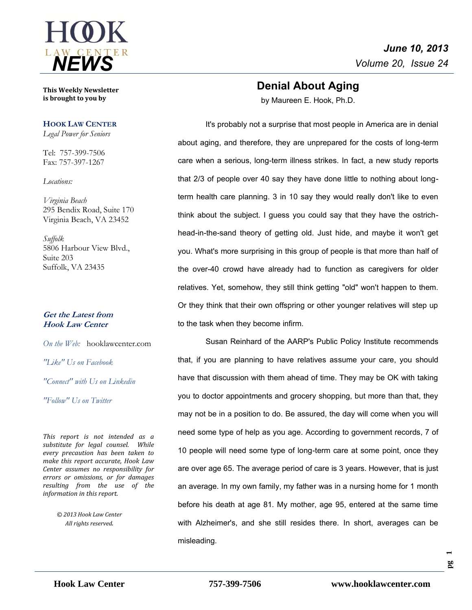

**This Weekly Newsletter is brought to you by** 

#### **HOOK LAW CENTER**

*Legal Power for Seniors*

Tel: 757-399-7506 Fax: 757-397-1267

*Locations:*

*Virginia Beach* 295 Bendix Road, Suite 170 Virginia Beach, VA 23452

*Suffolk* 5806 Harbour View Blvd., Suite 203 Suffolk, VA 23435

#### **Get the Latest from Hook Law Center**

*On the Web:* [hooklawcenter.com](http://www.hooklawcenter.com/)

*"Like" Us on Facebook*

*"Connect" with Us on Linkedin*

*"Follow" Us on Twitter*

*This report is not intended as a substitute for legal counsel. While every precaution has been taken to make this report accurate, Hook Law Center assumes no responsibility for errors or omissions, or for damages resulting from the use of the information in this report.*

> *© 2013 Hook Law Center All rights reserved.*

# **Denial About Aging**

by Maureen E. Hook, Ph.D.

It's probably not a surprise that most people in America are in denial about aging, and therefore, they are unprepared for the costs of long-term care when a serious, long-term illness strikes. In fact, a new study reports that 2/3 of people over 40 say they have done little to nothing about longterm health care planning. 3 in 10 say they would really don't like to even think about the subject. I guess you could say that they have the ostrichhead-in-the-sand theory of getting old. Just hide, and maybe it won't get you. What's more surprising in this group of people is that more than half of the over-40 crowd have already had to function as caregivers for older relatives. Yet, somehow, they still think getting "old" won't happen to them. Or they think that their own offspring or other younger relatives will step up to the task when they become infirm.

Susan Reinhard of the AARP's Public Policy Institute recommends that, if you are planning to have relatives assume your care, you should have that discussion with them ahead of time. They may be OK with taking you to doctor appointments and grocery shopping, but more than that, they may not be in a position to do. Be assured, the day will come when you will need some type of help as you age. According to government records, 7 of 10 people will need some type of long-term care at some point, once they are over age 65. The average period of care is 3 years. However, that is just an average. In my own family, my father was in a nursing home for 1 month before his death at age 81. My mother, age 95, entered at the same time with Alzheimer's, and she still resides there. In short, averages can be misleading.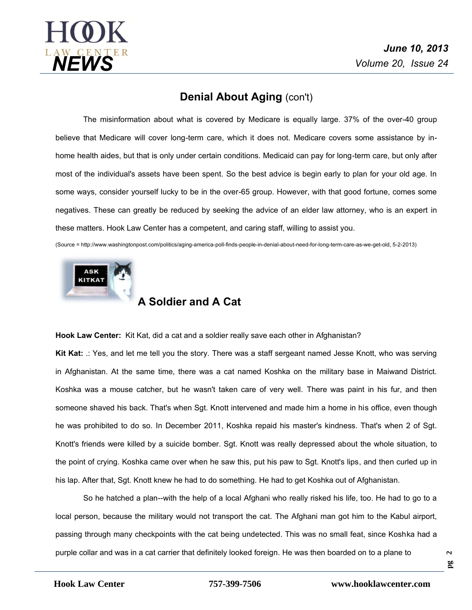

## **Denial About Aging (con't)**

The misinformation about what is covered by Medicare is equally large. 37% of the over-40 group believe that Medicare will cover long-term care, which it does not. Medicare covers some assistance by inhome health aides, but that is only under certain conditions. Medicaid can pay for long-term care, but only after most of the individual's assets have been spent. So the best advice is begin early to plan for your old age. In some ways, consider yourself lucky to be in the over-65 group. However, with that good fortune, comes some negatives. These can greatly be reduced by seeking the advice of an elder law attorney, who is an expert in these matters. Hook Law Center has a competent, and caring staff, willing to assist you.

(Source = http://www.washingtonpost.com/politics/aging-america-poll-finds-people-in-denial-about-need-for-long-term-care-as-we-get-old, 5-2-2013)



## **A Soldier and A Cat**

**Hook Law Center:** Kit Kat, did a cat and a soldier really save each other in Afghanistan?

**Kit Kat:** .: Yes, and let me tell you the story. There was a staff sergeant named Jesse Knott, who was serving in Afghanistan. At the same time, there was a cat named Koshka on the military base in Maiwand District. Koshka was a mouse catcher, but he wasn't taken care of very well. There was paint in his fur, and then someone shaved his back. That's when Sgt. Knott intervened and made him a home in his office, even though he was prohibited to do so. In December 2011, Koshka repaid his master's kindness. That's when 2 of Sgt. Knott's friends were killed by a suicide bomber. Sgt. Knott was really depressed about the whole situation, to the point of crying. Koshka came over when he saw this, put his paw to Sgt. Knott's lips, and then curled up in his lap. After that, Sgt. Knott knew he had to do something. He had to get Koshka out of Afghanistan.

So he hatched a plan--with the help of a local Afghani who really risked his life, too. He had to go to a local person, because the military would not transport the cat. The Afghani man got him to the Kabul airport, passing through many checkpoints with the cat being undetected. This was no small feat, since Koshka had a purple collar and was in a cat carrier that definitely looked foreign. He was then boarded on to a plane to

**pg**   $\sim$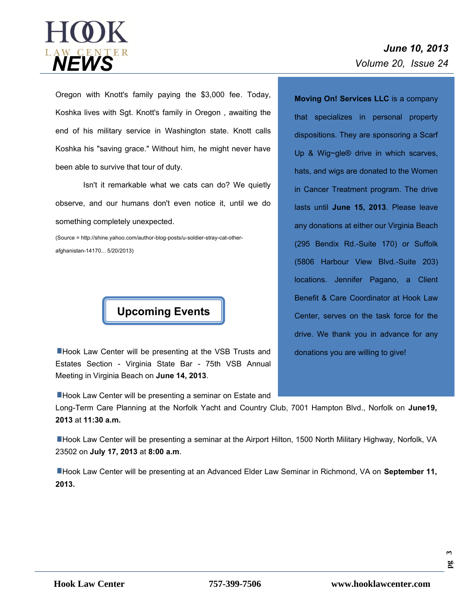

# *June 10, 2013*

Oregon with Knott's family paying the \$3,000 fee. Today, Koshka lives with Sgt. Knott's family in Oregon , awaiting the end of his military service in Washington state. Knott calls Koshka his "saving grace." Without him, he might never have been able to survive that tour of duty.

Isn't it remarkable what we cats can do? We quietly observe, and our humans don't even notice it, until we do something completely unexpected.

(Source = http://shine.yahoo.com/author-blog-posts/u-soldier-stray-cat-otherafghanistan-14170... 5/20/2013)



**Hook Law Center will be presenting at the VSB Trusts and** Estates Section - Virginia State Bar - 75th VSB Annual Meeting in Virginia Beach on **June 14, 2013**.

**Hook Law Center will be presenting a seminar on Estate and** 

Long-Term Care Planning at the Norfolk Yacht and Country Club, 7001 Hampton Blvd., Norfolk on **June19, 2013** at**11:30 a.m.**

Hook Law Center will be presenting a seminar at the Airport Hilton, 1500 North Military Highway, Norfolk, VA 23502 on **July 17, 2013** at **8:00 a.m**.

Hook Law Center will be presenting at an Advanced Elder Law Seminar in Richmond, VA on **September 11, 2013.**

**Moving On! Services LLC** is a company that specializes in personal property dispositions. They are sponsoring a Scarf Up & Wig~gle® drive in which scarves, hats, and wigs are donated to the Women in Cancer Treatment program. The drive lasts until **June 15, 2013**. Please leave any donations at either our Virginia Beach (295 Bendix Rd.-Suite 170) or Suffolk (5806 Harbour View Blvd.-Suite 203) locations. Jennifer Pagano, a Client Benefit & Care Coordinator at Hook Law Center, serves on the task force for the drive. We thank you in advance for any donations you are willing to give!